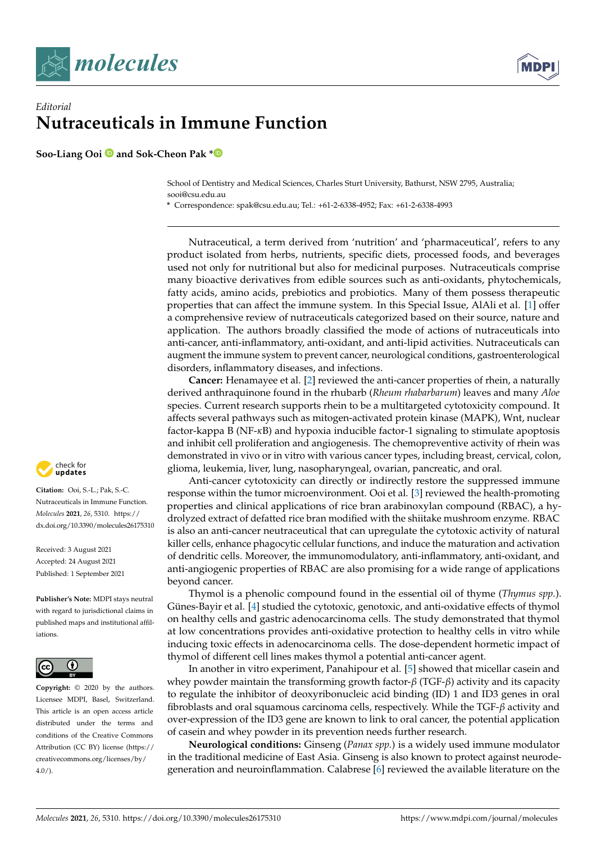



## *Editorial* **Nutraceuticals in Immune Function**

**Soo-Liang Ooi and Sok-Cheon Pak [\\*](https://orcid.org/0000-0001-8510-5781)**

School of Dentistry and Medical Sciences, Charles Sturt University, Bathurst, NSW 2795, Australia; sooi@csu.edu.au

**\*** Correspondence: spak@csu.edu.au; Tel.: +61-2-6338-4952; Fax: +61-2-6338-4993

Nutraceutical, a term derived from 'nutrition' and 'pharmaceutical', refers to any product isolated from herbs, nutrients, specific diets, processed foods, and beverages used not only for nutritional but also for medicinal purposes. Nutraceuticals comprise many bioactive derivatives from edible sources such as anti-oxidants, phytochemicals, fatty acids, amino acids, prebiotics and probiotics. Many of them possess therapeutic properties that can affect the immune system. In this Special Issue, AlAli et al. [\[1\]](#page-3-0) offer a comprehensive review of nutraceuticals categorized based on their source, nature and application. The authors broadly classified the mode of actions of nutraceuticals into anti-cancer, anti-inflammatory, anti-oxidant, and anti-lipid activities. Nutraceuticals can augment the immune system to prevent cancer, neurological conditions, gastroenterological disorders, inflammatory diseases, and infections.

**Cancer:** Henamayee et al. [\[2\]](#page-3-1) reviewed the anti-cancer properties of rhein, a naturally derived anthraquinone found in the rhubarb (*Rheum rhabarbarum*) leaves and many *Aloe* species. Current research supports rhein to be a multitargeted cytotoxicity compound. It affects several pathways such as mitogen-activated protein kinase (MAPK), Wnt, nuclear factor-kappa B (NF-*κ*B) and hypoxia inducible factor-1 signaling to stimulate apoptosis and inhibit cell proliferation and angiogenesis. The chemopreventive activity of rhein was demonstrated in vivo or in vitro with various cancer types, including breast, cervical, colon, glioma, leukemia, liver, lung, nasopharyngeal, ovarian, pancreatic, and oral.

Anti-cancer cytotoxicity can directly or indirectly restore the suppressed immune response within the tumor microenvironment. Ooi et al. [\[3\]](#page-3-2) reviewed the health-promoting properties and clinical applications of rice bran arabinoxylan compound (RBAC), a hydrolyzed extract of defatted rice bran modified with the shiitake mushroom enzyme. RBAC is also an anti-cancer neutraceutical that can upregulate the cytotoxic activity of natural killer cells, enhance phagocytic cellular functions, and induce the maturation and activation of dendritic cells. Moreover, the immunomodulatory, anti-inflammatory, anti-oxidant, and anti-angiogenic properties of RBAC are also promising for a wide range of applications beyond cancer.

Thymol is a phenolic compound found in the essential oil of thyme (*Thymus spp.*). Günes-Bayir et al. [\[4\]](#page-3-3) studied the cytotoxic, genotoxic, and anti-oxidative effects of thymol on healthy cells and gastric adenocarcinoma cells. The study demonstrated that thymol at low concentrations provides anti-oxidative protection to healthy cells in vitro while inducing toxic effects in adenocarcinoma cells. The dose-dependent hormetic impact of thymol of different cell lines makes thymol a potential anti-cancer agent.

In another in vitro experiment, Panahipour et al. [\[5\]](#page-3-4) showed that micellar casein and whey powder maintain the transforming growth factor-*β* (TGF-*β*) activity and its capacity to regulate the inhibitor of deoxyribonucleic acid binding (ID) 1 and ID3 genes in oral fibroblasts and oral squamous carcinoma cells, respectively. While the TGF-*β* activity and over-expression of the ID3 gene are known to link to oral cancer, the potential application of casein and whey powder in its prevention needs further research.

**Neurological conditions:** Ginseng (*Panax spp.*) is a widely used immune modulator in the traditional medicine of East Asia. Ginseng is also known to protect against neurodegeneration and neuroinflammation. Calabrese [\[6\]](#page-3-5) reviewed the available literature on the



**Citation:** Ooi, S.-L.; Pak, S.-C. Nutraceuticals in Immune Function. *Molecules* **2021**, *26*, 5310. [https://](https://doi.org/10.3390/molecules26175310) [dx.doi.org/10.3390/molecules26175310](https://doi.org/10.3390/molecules26175310)

Received: 3 August 2021 Accepted: 24 August 2021 Published: 1 September 2021

**Publisher's Note:** MDPI stays neutral with regard to jurisdictional claims in published maps and institutional affiliations.



**Copyright:** © 2020 by the authors. Licensee MDPI, Basel, Switzerland. This article is an open access article distributed under the terms and conditions of the Creative Commons Attribution (CC BY) license (https:/[/](https://creativecommons.org/licenses/by/4.0/) [creativecommons.org/licenses/by/](https://creativecommons.org/licenses/by/4.0/)  $4.0/$ ).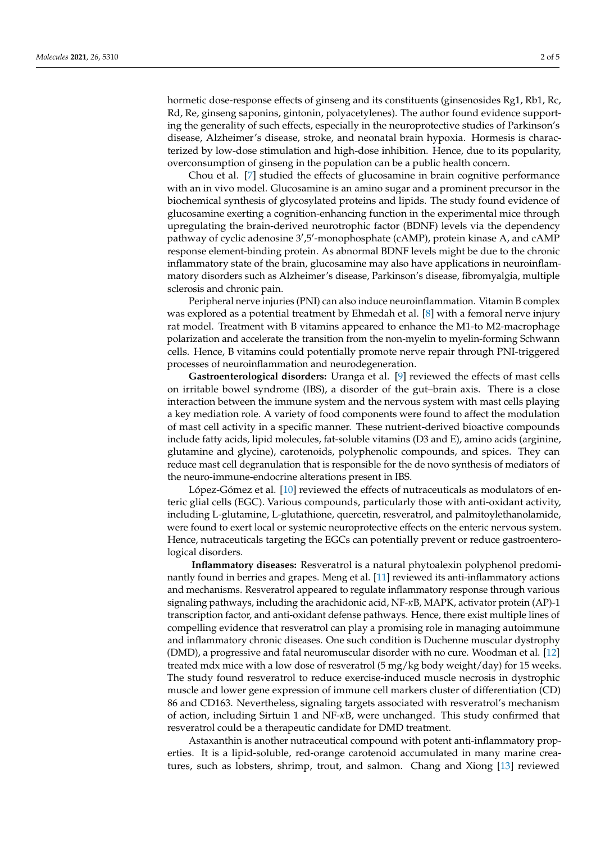hormetic dose-response effects of ginseng and its constituents (ginsenosides Rg1, Rb1, Rc, Rd, Re, ginseng saponins, gintonin, polyacetylenes). The author found evidence supporting the generality of such effects, especially in the neuroprotective studies of Parkinson's disease, Alzheimer's disease, stroke, and neonatal brain hypoxia. Hormesis is characterized by low-dose stimulation and high-dose inhibition. Hence, due to its popularity, overconsumption of ginseng in the population can be a public health concern.

Chou et al. [\[7\]](#page-3-6) studied the effects of glucosamine in brain cognitive performance with an in vivo model. Glucosamine is an amino sugar and a prominent precursor in the biochemical synthesis of glycosylated proteins and lipids. The study found evidence of glucosamine exerting a cognition-enhancing function in the experimental mice through upregulating the brain-derived neurotrophic factor (BDNF) levels via the dependency pathway of cyclic adenosine 3',5'-monophosphate (cAMP), protein kinase A, and cAMP response element-binding protein. As abnormal BDNF levels might be due to the chronic inflammatory state of the brain, glucosamine may also have applications in neuroinflammatory disorders such as Alzheimer's disease, Parkinson's disease, fibromyalgia, multiple sclerosis and chronic pain.

Peripheral nerve injuries (PNI) can also induce neuroinflammation. Vitamin B complex was explored as a potential treatment by Ehmedah et al. [\[8\]](#page-3-7) with a femoral nerve injury rat model. Treatment with B vitamins appeared to enhance the M1-to M2-macrophage polarization and accelerate the transition from the non-myelin to myelin-forming Schwann cells. Hence, B vitamins could potentially promote nerve repair through PNI-triggered processes of neuroinflammation and neurodegeneration.

**Gastroenterological disorders:** Uranga et al. [\[9\]](#page-3-8) reviewed the effects of mast cells on irritable bowel syndrome (IBS), a disorder of the gut–brain axis. There is a close interaction between the immune system and the nervous system with mast cells playing a key mediation role. A variety of food components were found to affect the modulation of mast cell activity in a specific manner. These nutrient-derived bioactive compounds include fatty acids, lipid molecules, fat-soluble vitamins (D3 and E), amino acids (arginine, glutamine and glycine), carotenoids, polyphenolic compounds, and spices. They can reduce mast cell degranulation that is responsible for the de novo synthesis of mediators of the neuro-immune-endocrine alterations present in IBS.

López-Gómez et al. [\[10\]](#page-3-9) reviewed the effects of nutraceuticals as modulators of enteric glial cells (EGC). Various compounds, particularly those with anti-oxidant activity, including L-glutamine, L-glutathione, quercetin, resveratrol, and palmitoylethanolamide, were found to exert local or systemic neuroprotective effects on the enteric nervous system. Hence, nutraceuticals targeting the EGCs can potentially prevent or reduce gastroenterological disorders.

**Inflammatory diseases:** Resveratrol is a natural phytoalexin polyphenol predominantly found in berries and grapes. Meng et al. [\[11\]](#page-3-10) reviewed its anti-inflammatory actions and mechanisms. Resveratrol appeared to regulate inflammatory response through various signaling pathways, including the arachidonic acid, NF-*κ*B, MAPK, activator protein (AP)-1 transcription factor, and anti-oxidant defense pathways. Hence, there exist multiple lines of compelling evidence that resveratrol can play a promising role in managing autoimmune and inflammatory chronic diseases. One such condition is Duchenne muscular dystrophy (DMD), a progressive and fatal neuromuscular disorder with no cure. Woodman et al. [\[12\]](#page-3-11) treated mdx mice with a low dose of resveratrol (5 mg/kg body weight/day) for 15 weeks. The study found resveratrol to reduce exercise-induced muscle necrosis in dystrophic muscle and lower gene expression of immune cell markers cluster of differentiation (CD) 86 and CD163. Nevertheless, signaling targets associated with resveratrol's mechanism of action, including Sirtuin 1 and NF-*κ*B, were unchanged. This study confirmed that resveratrol could be a therapeutic candidate for DMD treatment.

Astaxanthin is another nutraceutical compound with potent anti-inflammatory properties. It is a lipid-soluble, red-orange carotenoid accumulated in many marine creatures, such as lobsters, shrimp, trout, and salmon. Chang and Xiong [\[13\]](#page-3-12) reviewed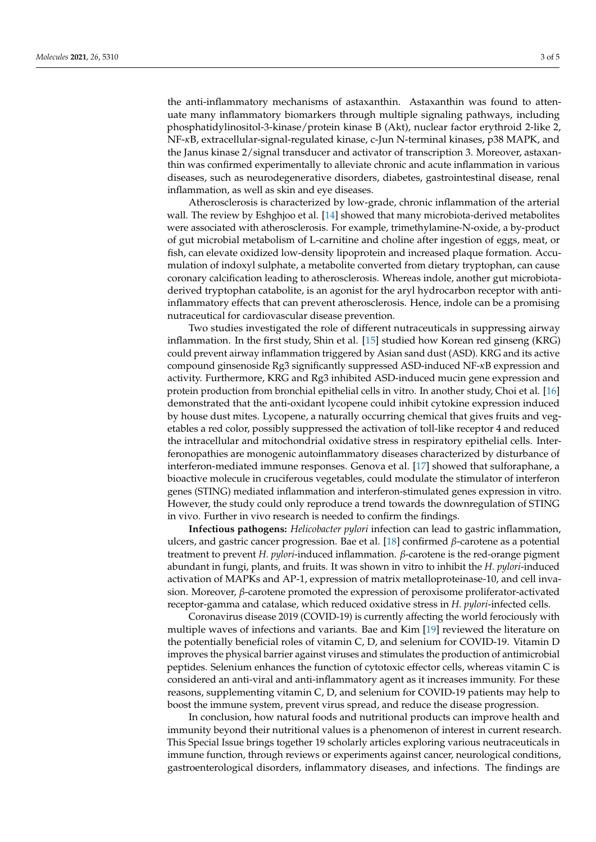the anti-inflammatory mechanisms of astaxanthin. Astaxanthin was found to attenuate many inflammatory biomarkers through multiple signaling pathways, including phosphatidylinositol-3-kinase/protein kinase B (Akt), nuclear factor erythroid 2-like 2, NF-*κ*B, extracellular-signal-regulated kinase, c-Jun N-terminal kinases, p38 MAPK, and the Janus kinase 2/signal transducer and activator of transcription 3. Moreover, astaxanthin was confirmed experimentally to alleviate chronic and acute inflammation in various diseases, such as neurodegenerative disorders, diabetes, gastrointestinal disease, renal inflammation, as well as skin and eye diseases.

Atherosclerosis is characterized by low-grade, chronic inflammation of the arterial wall. The review by Eshghjoo et al. [\[14\]](#page-4-0) showed that many microbiota-derived metabolites were associated with atherosclerosis. For example, trimethylamine-N-oxide, a by-product of gut microbial metabolism of L-carnitine and choline after ingestion of eggs, meat, or fish, can elevate oxidized low-density lipoprotein and increased plaque formation. Accumulation of indoxyl sulphate, a metabolite converted from dietary tryptophan, can cause coronary calcification leading to atherosclerosis. Whereas indole, another gut microbiotaderived tryptophan catabolite, is an agonist for the aryl hydrocarbon receptor with antiinflammatory effects that can prevent atherosclerosis. Hence, indole can be a promising nutraceutical for cardiovascular disease prevention.

Two studies investigated the role of different nutraceuticals in suppressing airway inflammation. In the first study, Shin et al. [\[15\]](#page-4-1) studied how Korean red ginseng (KRG) could prevent airway inflammation triggered by Asian sand dust (ASD). KRG and its active compound ginsenoside Rg3 significantly suppressed ASD-induced NF-*κ*B expression and activity. Furthermore, KRG and Rg3 inhibited ASD-induced mucin gene expression and protein production from bronchial epithelial cells in vitro. In another study, Choi et al. [\[16\]](#page-4-2) demonstrated that the anti-oxidant lycopene could inhibit cytokine expression induced by house dust mites. Lycopene, a naturally occurring chemical that gives fruits and vegetables a red color, possibly suppressed the activation of toll-like receptor 4 and reduced the intracellular and mitochondrial oxidative stress in respiratory epithelial cells. Interferonopathies are monogenic autoinflammatory diseases characterized by disturbance of interferon-mediated immune responses. Genova et al. [\[17\]](#page-4-3) showed that sulforaphane, a bioactive molecule in cruciferous vegetables, could modulate the stimulator of interferon genes (STING) mediated inflammation and interferon-stimulated genes expression in vitro. However, the study could only reproduce a trend towards the downregulation of STING in vivo. Further in vivo research is needed to confirm the findings.

**Infectious pathogens:** *Helicobacter pylori* infection can lead to gastric inflammation, ulcers, and gastric cancer progression. Bae et al. [\[18\]](#page-4-4) confirmed *β*-carotene as a potential treatment to prevent *H. pylori*-induced inflammation. *β*-carotene is the red-orange pigment abundant in fungi, plants, and fruits. It was shown in vitro to inhibit the *H. pylori*-induced activation of MAPKs and AP-1, expression of matrix metalloproteinase-10, and cell invasion. Moreover, *β*-carotene promoted the expression of peroxisome proliferator-activated receptor-gamma and catalase, which reduced oxidative stress in *H. pylori*-infected cells.

Coronavirus disease 2019 (COVID-19) is currently affecting the world ferociously with multiple waves of infections and variants. Bae and Kim [\[19\]](#page-4-5) reviewed the literature on the potentially beneficial roles of vitamin C, D, and selenium for COVID-19. Vitamin D improves the physical barrier against viruses and stimulates the production of antimicrobial peptides. Selenium enhances the function of cytotoxic effector cells, whereas vitamin C is considered an anti-viral and anti-inflammatory agent as it increases immunity. For these reasons, supplementing vitamin C, D, and selenium for COVID-19 patients may help to boost the immune system, prevent virus spread, and reduce the disease progression.

In conclusion, how natural foods and nutritional products can improve health and immunity beyond their nutritional values is a phenomenon of interest in current research. This Special Issue brings together 19 scholarly articles exploring various neutraceuticals in immune function, through reviews or experiments against cancer, neurological conditions, gastroenterological disorders, inflammatory diseases, and infections. The findings are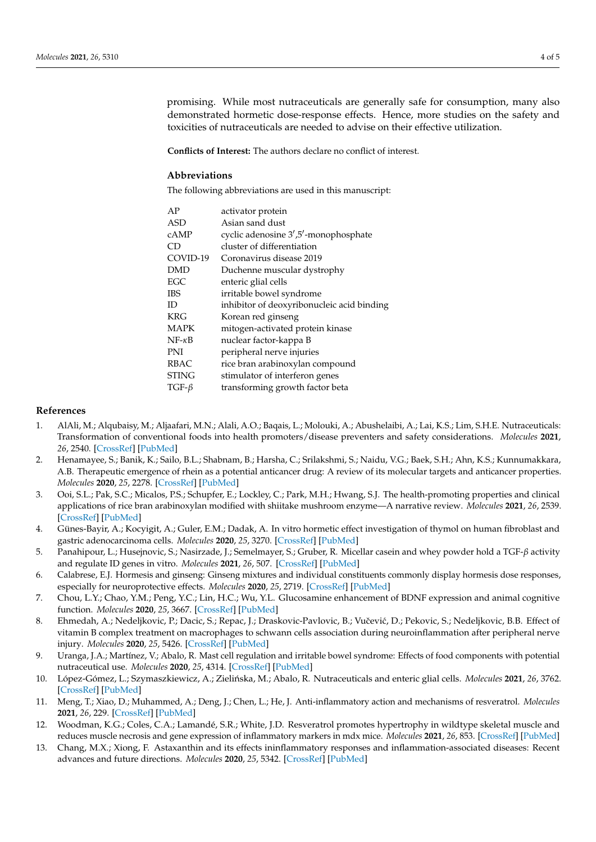promising. While most nutraceuticals are generally safe for consumption, many also demonstrated hormetic dose-response effects. Hence, more studies on the safety and toxicities of nutraceuticals are needed to advise on their effective utilization.

**Conflicts of Interest:** The authors declare no conflict of interest.

## **Abbreviations**

The following abbreviations are used in this manuscript:

| AP             | activator protein                          |
|----------------|--------------------------------------------|
| ASD            | Asian sand dust                            |
| cAMP           | cyclic adenosine 3',5'-monophosphate       |
| СD             | cluster of differentiation                 |
| COVID-19       | Coronavirus disease 2019                   |
| <b>DMD</b>     | Duchenne muscular dystrophy                |
| EGC            | enteric glial cells                        |
| IBS            | irritable bowel syndrome                   |
| ID             | inhibitor of deoxyribonucleic acid binding |
| <b>KRG</b>     | Korean red ginseng                         |
| MAPK           | mitogen-activated protein kinase           |
| $NF- \kappa B$ | nuclear factor-kappa B                     |
| PNI            | peripheral nerve injuries                  |
| RBAC           | rice bran arabinoxylan compound            |
| STING          | stimulator of interferon genes             |
| TGF- $\beta$   | transforming growth factor beta            |

## **References**

- <span id="page-3-0"></span>1. AlAli, M.; Alqubaisy, M.; Aljaafari, M.N.; Alali, A.O.; Baqais, L.; Molouki, A.; Abushelaibi, A.; Lai, K.S.; Lim, S.H.E. Nutraceuticals: Transformation of conventional foods into health promoters/disease preventers and safety considerations. *Molecules* **2021**, *26*, 2540. [\[CrossRef\]](http://dx.doi.org/10.3390/molecules26092540) [\[PubMed\]](http://www.ncbi.nlm.nih.gov/pubmed/33925346)
- <span id="page-3-1"></span>2. Henamayee, S.; Banik, K.; Sailo, B.L.; Shabnam, B.; Harsha, C.; Srilakshmi, S.; Naidu, V.G.; Baek, S.H.; Ahn, K.S.; Kunnumakkara, A.B. Therapeutic emergence of rhein as a potential anticancer drug: A review of its molecular targets and anticancer properties. *Molecules* **2020**, *25*, 2278. [\[CrossRef\]](http://dx.doi.org/10.3390/molecules25102278) [\[PubMed\]](http://www.ncbi.nlm.nih.gov/pubmed/32408623)
- <span id="page-3-2"></span>3. Ooi, S.L.; Pak, S.C.; Micalos, P.S.; Schupfer, E.; Lockley, C.; Park, M.H.; Hwang, S.J. The health-promoting properties and clinical applications of rice bran arabinoxylan modified with shiitake mushroom enzyme—A narrative review. *Molecules* **2021**, *26*, 2539. [\[CrossRef\]](http://dx.doi.org/10.3390/molecules26092539) [\[PubMed\]](http://www.ncbi.nlm.nih.gov/pubmed/33925340)
- <span id="page-3-3"></span>4. Günes-Bayir, A.; Kocyigit, A.; Guler, E.M.; Dadak, A. In vitro hormetic effect investigation of thymol on human fibroblast and gastric adenocarcinoma cells. *Molecules* **2020**, *25*, 3270. [\[CrossRef\]](http://dx.doi.org/10.3390/molecules25143270) [\[PubMed\]](http://www.ncbi.nlm.nih.gov/pubmed/32709059)
- <span id="page-3-4"></span>5. Panahipour, L.; Husejnovic, S.; Nasirzade, J.; Semelmayer, S.; Gruber, R. Micellar casein and whey powder hold a TGF-*β* activity and regulate ID genes in vitro. *Molecules* **2021**, *26*, 507. [\[CrossRef\]](http://dx.doi.org/10.3390/molecules26020507) [\[PubMed\]](http://www.ncbi.nlm.nih.gov/pubmed/33477984)
- <span id="page-3-5"></span>6. Calabrese, E.J. Hormesis and ginseng: Ginseng mixtures and individual constituents commonly display hormesis dose responses, especially for neuroprotective effects. *Molecules* **2020**, *25*, 2719. [\[CrossRef\]](http://dx.doi.org/10.3390/molecules25112719) [\[PubMed\]](http://www.ncbi.nlm.nih.gov/pubmed/32545419)
- <span id="page-3-6"></span>7. Chou, L.Y.; Chao, Y.M.; Peng, Y.C.; Lin, H.C.; Wu, Y.L. Glucosamine enhancement of BDNF expression and animal cognitive function. *Molecules* **2020**, *25*, 3667. [\[CrossRef\]](http://dx.doi.org/10.3390/molecules25163667) [\[PubMed\]](http://www.ncbi.nlm.nih.gov/pubmed/32806562)
- <span id="page-3-7"></span>8. Ehmedah, A.; Nedeljkovic, P.; Dacic, S.; Repac, J.; Draskovic-Pavlovic, B.; Vučević, D.; Pekovic, S.; Nedeljkovic, B.B. Effect of vitamin B complex treatment on macrophages to schwann cells association during neuroinflammation after peripheral nerve injury. *Molecules* **2020**, *25*, 5426. [\[CrossRef\]](http://dx.doi.org/10.3390/molecules25225426) [\[PubMed\]](http://www.ncbi.nlm.nih.gov/pubmed/33228193)
- <span id="page-3-8"></span>9. Uranga, J.A.; Martínez, V.; Abalo, R. Mast cell regulation and irritable bowel syndrome: Effects of food components with potential nutraceutical use. *Molecules* **2020**, *25*, 4314. [\[CrossRef\]](http://dx.doi.org/10.3390/molecules25184314) [\[PubMed\]](http://www.ncbi.nlm.nih.gov/pubmed/32962285)
- <span id="page-3-9"></span>10. López-Gómez, L.; Szymaszkiewicz, A.; Zielińska, M.; Abalo, R. Nutraceuticals and enteric glial cells. *Molecules* 2021, 26, 3762. [\[CrossRef\]](http://dx.doi.org/10.3390/molecules26123762) [\[PubMed\]](http://www.ncbi.nlm.nih.gov/pubmed/34205534)
- <span id="page-3-10"></span>11. Meng, T.; Xiao, D.; Muhammed, A.; Deng, J.; Chen, L.; He, J. Anti-inflammatory action and mechanisms of resveratrol. *Molecules* **2021**, *26*, 229. [\[CrossRef\]](http://dx.doi.org/10.3390/molecules26010229) [\[PubMed\]](http://www.ncbi.nlm.nih.gov/pubmed/33466247)
- <span id="page-3-11"></span>12. Woodman, K.G.; Coles, C.A.; Lamandé, S.R.; White, J.D. Resveratrol promotes hypertrophy in wildtype skeletal muscle and reduces muscle necrosis and gene expression of inflammatory markers in mdx mice. *Molecules* **2021**, *26*, 853. [\[CrossRef\]](http://dx.doi.org/10.3390/molecules26040853) [\[PubMed\]](http://www.ncbi.nlm.nih.gov/pubmed/33561994)
- <span id="page-3-12"></span>13. Chang, M.X.; Xiong, F. Astaxanthin and its effects ininflammatory responses and inflammation-associated diseases: Recent advances and future directions. *Molecules* **2020**, *25*, 5342. [\[CrossRef\]](http://dx.doi.org/10.3390/molecules25225342) [\[PubMed\]](http://www.ncbi.nlm.nih.gov/pubmed/33207669)